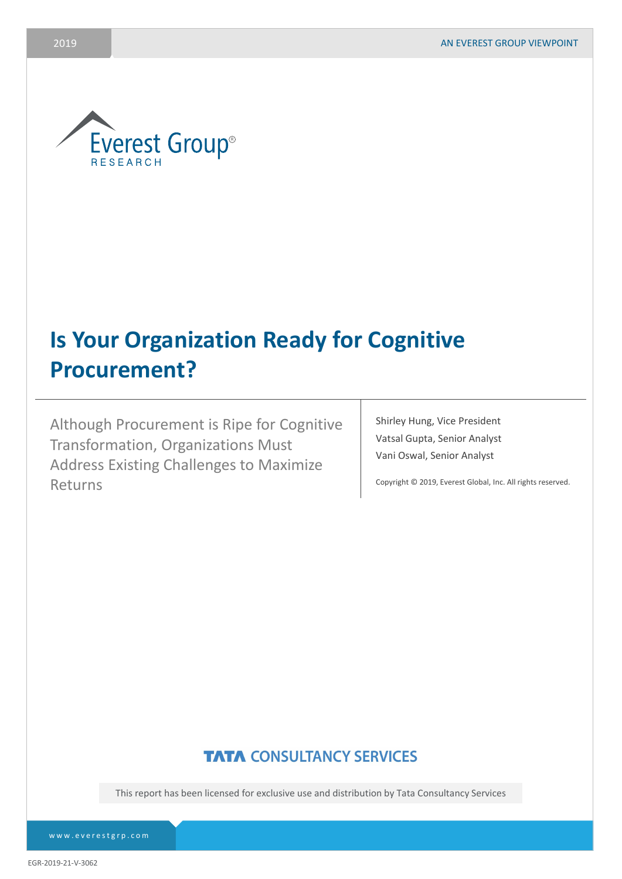

# **Is Your Organization Ready for Cognitive Procurement?**

Although Procurement is Ripe for Cognitive Transformation, Organizations Must Address Existing Challenges to Maximize Returns

Shirley Hung, Vice President Vatsal Gupta, Senior Analyst Vani Oswal, Senior Analyst

Copyright © 2019, Everest Global, Inc. All rights reserved.

## **TATA CONSULTANCY SERVICES**

This report has been licensed for exclusive use and distribution by Tata Consultancy Services

[www.everestgrp.com](http://www.everestgrp.com/)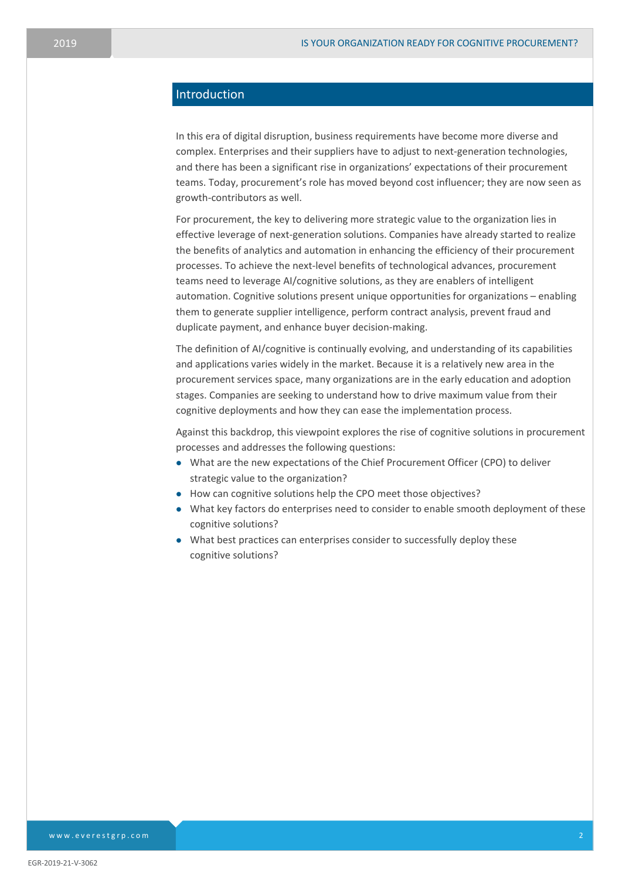#### Introduction

In this era of digital disruption, business requirements have become more diverse and complex. Enterprises and their suppliers have to adjust to next-generation technologies, and there has been a significant rise in organizations' expectations of their procurement teams. Today, procurement's role has moved beyond cost influencer; they are now seen as growth-contributors as well.

For procurement, the key to delivering more strategic value to the organization lies in effective leverage of next-generation solutions. Companies have already started to realize the benefits of analytics and automation in enhancing the efficiency of their procurement processes. To achieve the next-level benefits of technological advances, procurement teams need to leverage AI/cognitive solutions, as they are enablers of intelligent automation. Cognitive solutions present unique opportunities for organizations – enabling them to generate supplier intelligence, perform contract analysis, prevent fraud and duplicate payment, and enhance buyer decision-making.

The definition of AI/cognitive is continually evolving, and understanding of its capabilities and applications varies widely in the market. Because it is a relatively new area in the procurement services space, many organizations are in the early education and adoption stages. Companies are seeking to understand how to drive maximum value from their cognitive deployments and how they can ease the implementation process.

Against this backdrop, this viewpoint explores the rise of cognitive solutions in procurement processes and addresses the following questions:

- What are the new expectations of the Chief Procurement Officer (CPO) to deliver strategic value to the organization?
- How can cognitive solutions help the CPO meet those objectives?
- What key factors do enterprises need to consider to enable smooth deployment of these cognitive solutions?
- What best practices can enterprises consider to successfully deploy these cognitive solutions?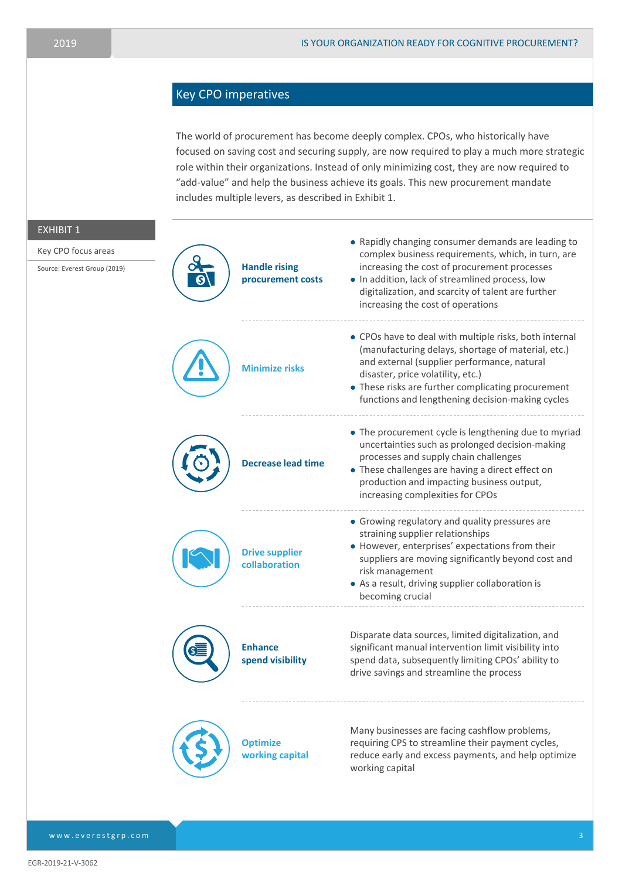### Key CPO imperatives

The world of procurement has become deeply complex. CPOs, who historically have focused on saving cost and securing supply, are now required to play a much more strategic role within their organizations. Instead of only minimizing cost, they are now required to "add-value" and help the business achieve its goals. This new procurement mandate includes multiple levers, as described in Exhibit 1.

| <b>EXHIBIT 1</b><br>Key CPO focus areas<br>Source: Everest Group (2019) | <b>Handle rising</b><br>procurement costs | • Rapidly changing consumer demands are leading to<br>complex business requirements, which, in turn, are<br>increasing the cost of procurement processes<br>. In addition, lack of streamlined process, low<br>digitalization, and scarcity of talent are further<br>increasing the cost of operations     |
|-------------------------------------------------------------------------|-------------------------------------------|------------------------------------------------------------------------------------------------------------------------------------------------------------------------------------------------------------------------------------------------------------------------------------------------------------|
|                                                                         | <b>Minimize risks</b>                     | • CPOs have to deal with multiple risks, both internal<br>(manufacturing delays, shortage of material, etc.)<br>and external (supplier performance, natural<br>disaster, price volatility, etc.)<br>• These risks are further complicating procurement<br>functions and lengthening decision-making cycles |
|                                                                         | <b>Decrease lead time</b>                 | • The procurement cycle is lengthening due to myriad<br>uncertainties such as prolonged decision-making<br>processes and supply chain challenges<br>• These challenges are having a direct effect on<br>production and impacting business output,<br>increasing complexities for CPOs                      |
|                                                                         | <b>Drive supplier</b><br>collaboration    | • Growing regulatory and quality pressures are<br>straining supplier relationships<br>• However, enterprises' expectations from their<br>suppliers are moving significantly beyond cost and<br>risk management<br>• As a result, driving supplier collaboration is<br>becoming crucial                     |
|                                                                         | <b>Enhance</b><br>spend visibility        | Disparate data sources, limited digitalization, and<br>significant manual intervention limit visibility into<br>spend data, subsequently limiting CPOs' ability to<br>drive savings and streamline the process                                                                                             |
|                                                                         | <b>Optimize</b><br>working capital        | Many businesses are facing cashflow problems,<br>requiring CPS to streamline their payment cycles,<br>reduce early and excess payments, and help optimize<br>working capital                                                                                                                               |

EGR-2019-21-V-3062

[www.everestgrp.com](http://www.everestgrp.com/)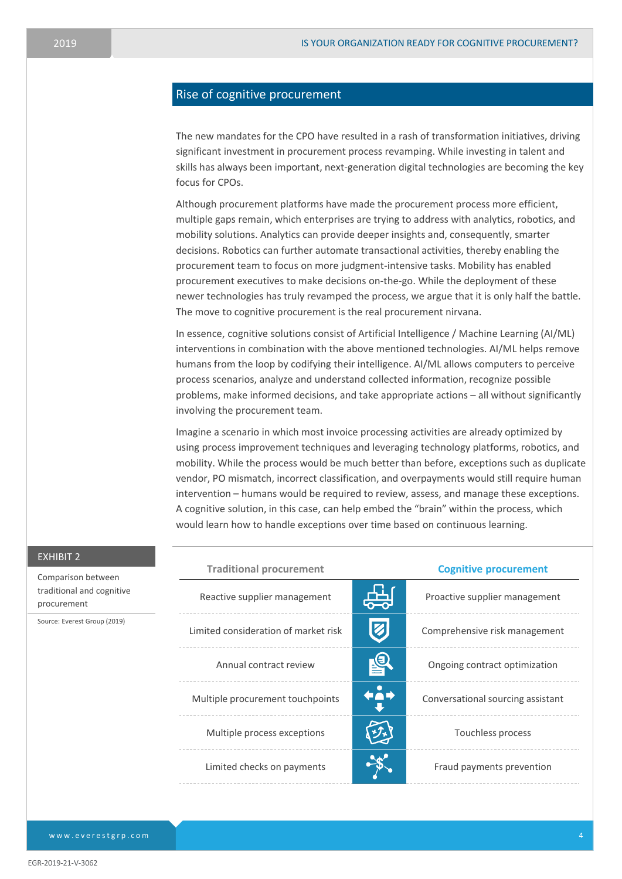#### Rise of cognitive procurement

The new mandates for the CPO have resulted in a rash of transformation initiatives, driving significant investment in procurement process revamping. While investing in talent and skills has always been important, next-generation digital technologies are becoming the key focus for CPOs.

Although procurement platforms have made the procurement process more efficient, multiple gaps remain, which enterprises are trying to address with analytics, robotics, and mobility solutions. Analytics can provide deeper insights and, consequently, smarter decisions. Robotics can further automate transactional activities, thereby enabling the procurement team to focus on more judgment-intensive tasks. Mobility has enabled procurement executives to make decisions on-the-go. While the deployment of these newer technologies has truly revamped the process, we argue that it is only half the battle. The move to cognitive procurement is the real procurement nirvana.

In essence, cognitive solutions consist of Artificial Intelligence / Machine Learning (AI/ML) interventions in combination with the above mentioned technologies. AI/ML helps remove humans from the loop by codifying their intelligence. AI/ML allows computers to perceive process scenarios, analyze and understand collected information, recognize possible problems, make informed decisions, and take appropriate actions – all without significantly involving the procurement team.

Imagine a scenario in which most invoice processing activities are already optimized by using process improvement techniques and leveraging technology platforms, robotics, and mobility. While the process would be much better than before, exceptions such as duplicate vendor, PO mismatch, incorrect classification, and overpayments would still require human intervention – humans would be required to review, assess, and manage these exceptions. A cognitive solution, in this case, can help embed the "brain" within the process, which would learn how to handle exceptions over time based on continuous learning.

| EXHIBIT 2                                                                                      |                                      |                              |                                   |
|------------------------------------------------------------------------------------------------|--------------------------------------|------------------------------|-----------------------------------|
| Comparison between<br>traditional and cognitive<br>procurement<br>Source: Everest Group (2019) | <b>Traditional procurement</b>       | <b>Cognitive procurement</b> |                                   |
|                                                                                                | Reactive supplier management         |                              | Proactive supplier management     |
|                                                                                                | Limited consideration of market risk |                              | Comprehensive risk management     |
|                                                                                                | Annual contract review               | $\mathbf{P}$                 | Ongoing contract optimization     |
|                                                                                                | Multiple procurement touchpoints     | ←Å→                          | Conversational sourcing assistant |
|                                                                                                | Multiple process exceptions          |                              | Touchless process                 |
|                                                                                                | Limited checks on payments           |                              | Fraud payments prevention         |

# E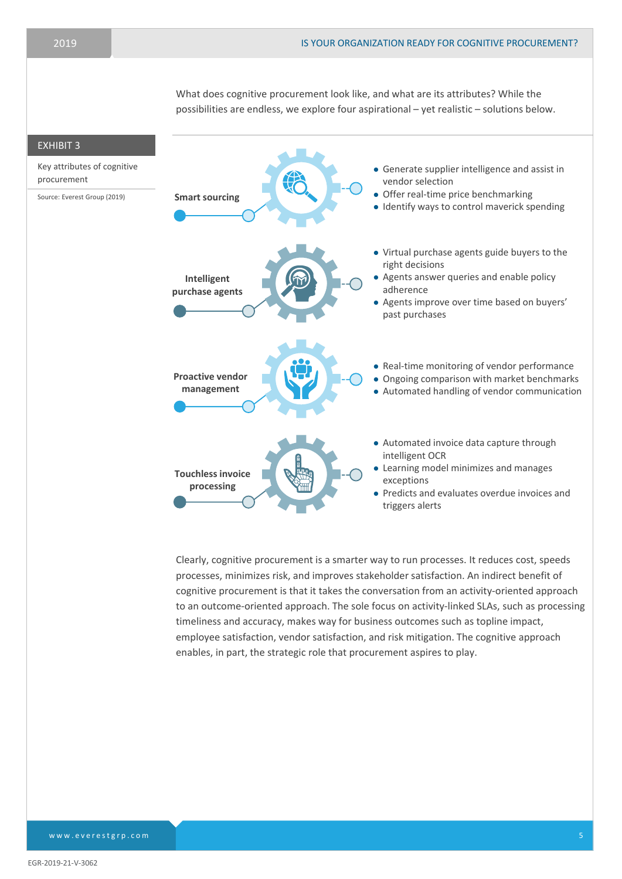What does cognitive procurement look like, and what are its attributes? While the possibilities are endless, we explore four aspirational – yet realistic – solutions below.



Clearly, cognitive procurement is a smarter way to run processes. It reduces cost, speeds processes, minimizes risk, and improves stakeholder satisfaction. An indirect benefit of cognitive procurement is that it takes the conversation from an activity-oriented approach to an outcome-oriented approach. The sole focus on activity-linked SLAs, such as processing timeliness and accuracy, makes way for business outcomes such as topline impact, employee satisfaction, vendor satisfaction, and risk mitigation. The cognitive approach enables, in part, the strategic role that procurement aspires to play.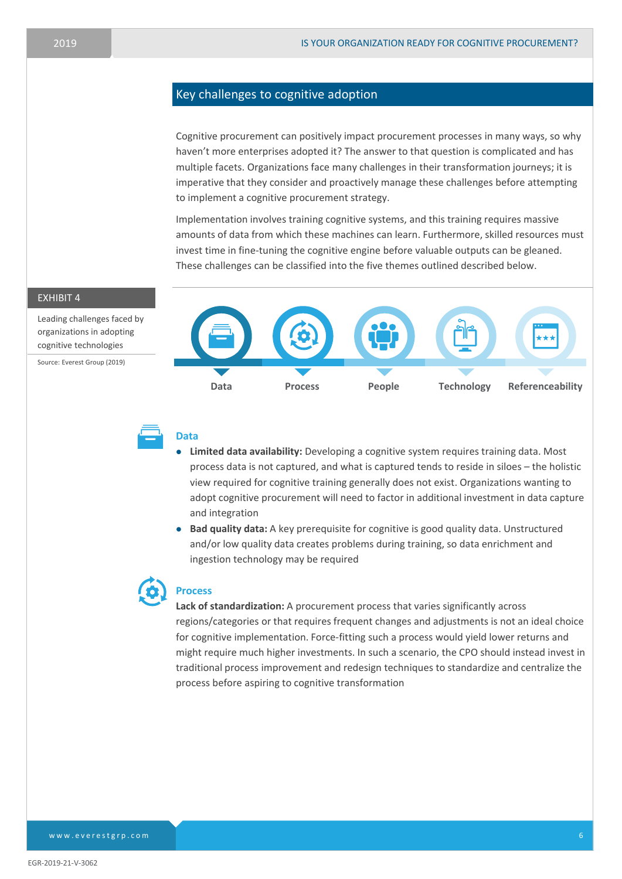#### Key challenges to cognitive adoption

Cognitive procurement can positively impact procurement processes in many ways, so why haven't more enterprises adopted it? The answer to that question is complicated and has multiple facets. Organizations face many challenges in their transformation journeys; it is imperative that they consider and proactively manage these challenges before attempting to implement a cognitive procurement strategy.

Implementation involves training cognitive systems, and this training requires massive amounts of data from which these machines can learn. Furthermore, skilled resources must invest time in fine-tuning the cognitive engine before valuable outputs can be gleaned. These challenges can be classified into the five themes outlined described below.

#### EXHIBIT 4

Leading challenges faced by organizations in adopting cognitive technologies

Source: Everest Group (2019)





#### **Data**

- **Limited data availability:** Developing a cognitive system requires training data. Most process data is not captured, and what is captured tends to reside in siloes – the holistic view required for cognitive training generally does not exist. Organizations wanting to adopt cognitive procurement will need to factor in additional investment in data capture and integration
- **Bad quality data:** A key prerequisite for cognitive is good quality data. Unstructured and/or low quality data creates problems during training, so data enrichment and ingestion technology may be required



#### **Process**

**Lack of standardization:** A procurement process that varies significantly across regions/categories or that requires frequent changes and adjustments is not an ideal choice for cognitive implementation. Force-fitting such a process would yield lower returns and might require much higher investments. In such a scenario, the CPO should instead invest in traditional process improvement and redesign techniques to standardize and centralize the process before aspiring to cognitive transformation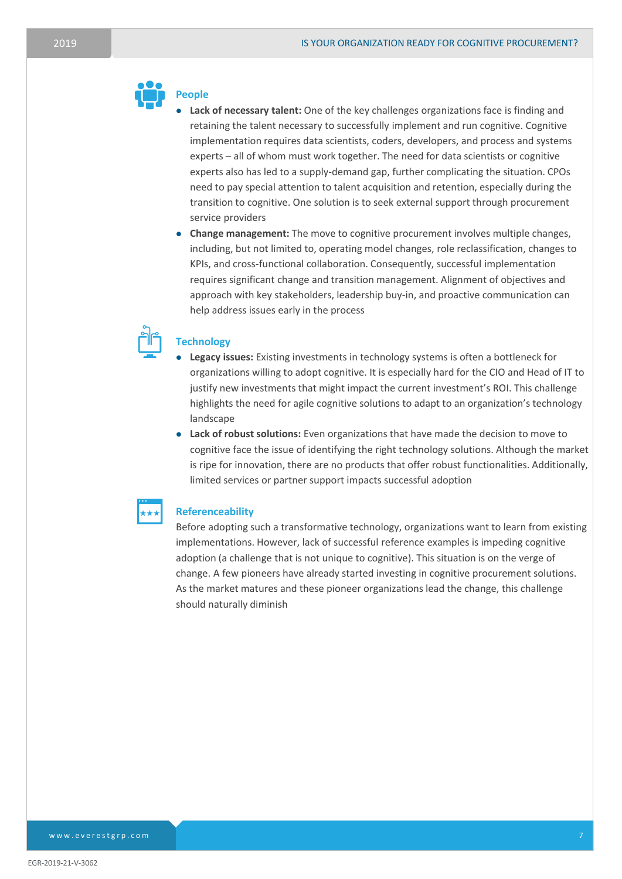#### **People**

- **Lack of necessary talent:** One of the key challenges organizations face is finding and retaining the talent necessary to successfully implement and run cognitive. Cognitive implementation requires data scientists, coders, developers, and process and systems experts – all of whom must work together. The need for data scientists or cognitive experts also has led to a supply-demand gap, further complicating the situation. CPOs need to pay special attention to talent acquisition and retention, especially during the transition to cognitive. One solution is to seek external support through procurement service providers
- **Change management:** The move to cognitive procurement involves multiple changes, including, but not limited to, operating model changes, role reclassification, changes to KPIs, and cross-functional collaboration. Consequently, successful implementation requires significant change and transition management. Alignment of objectives and approach with key stakeholders, leadership buy-in, and proactive communication can help address issues early in the process



#### **Technology**

- **Legacy issues:** Existing investments in technology systems is often a bottleneck for organizations willing to adopt cognitive. It is especially hard for the CIO and Head of IT to justify new investments that might impact the current investment's ROI. This challenge highlights the need for agile cognitive solutions to adapt to an organization's technology landscape
- **Lack of robust solutions:** Even organizations that have made the decision to move to cognitive face the issue of identifying the right technology solutions. Although the market is ripe for innovation, there are no products that offer robust functionalities. Additionally, limited services or partner support impacts successful adoption

#### **Referenceability**

Before adopting such a transformative technology, organizations want to learn from existing implementations. However, lack of successful reference examples is impeding cognitive adoption (a challenge that is not unique to cognitive). This situation is on the verge of change. A few pioneers have already started investing in cognitive procurement solutions. As the market matures and these pioneer organizations lead the change, this challenge should naturally diminish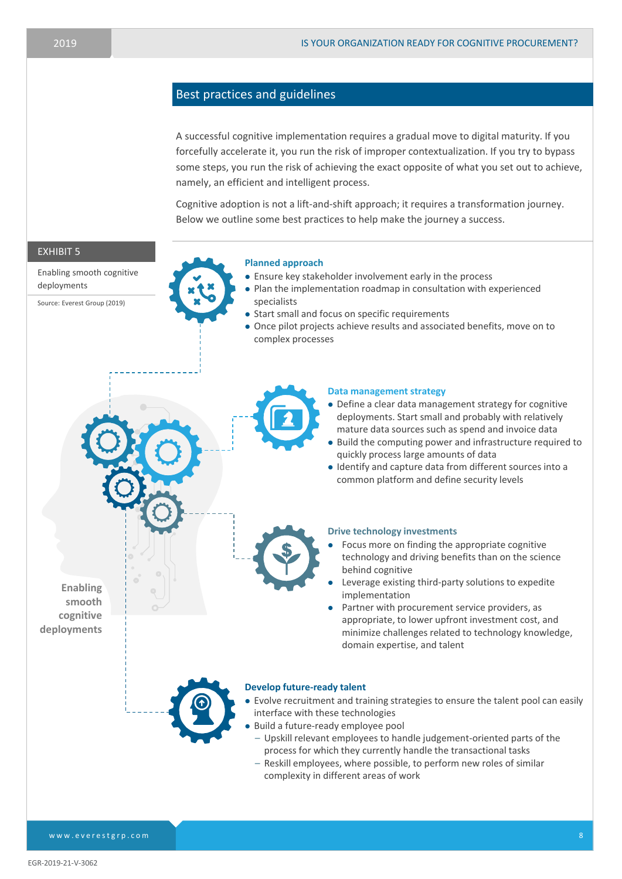#### Best practices and guidelines

A successful cognitive implementation requires a gradual move to digital maturity. If you forcefully accelerate it, you run the risk of improper contextualization. If you try to bypass some steps, you run the risk of achieving the exact opposite of what you set out to achieve, namely, an efficient and intelligent process.

Cognitive adoption is not a lift-and-shift approach; it requires a transformation journey. Below we outline some best practices to help make the journey a success.



[www.everestgrp.com](http://www.everestgrp.com/)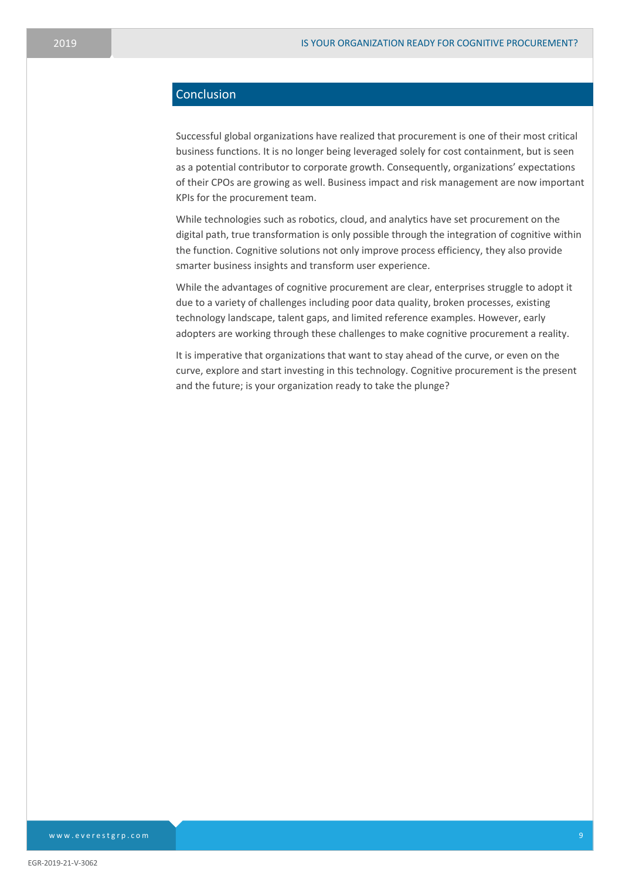### Conclusion

Successful global organizations have realized that procurement is one of their most critical business functions. It is no longer being leveraged solely for cost containment, but is seen as a potential contributor to corporate growth. Consequently, organizations' expectations of their CPOs are growing as well. Business impact and risk management are now important KPIs for the procurement team.

While technologies such as robotics, cloud, and analytics have set procurement on the digital path, true transformation is only possible through the integration of cognitive within the function. Cognitive solutions not only improve process efficiency, they also provide smarter business insights and transform user experience.

While the advantages of cognitive procurement are clear, enterprises struggle to adopt it due to a variety of challenges including poor data quality, broken processes, existing technology landscape, talent gaps, and limited reference examples. However, early adopters are working through these challenges to make cognitive procurement a reality.

It is imperative that organizations that want to stay ahead of the curve, or even on the curve, explore and start investing in this technology. Cognitive procurement is the present and the future; is your organization ready to take the plunge?